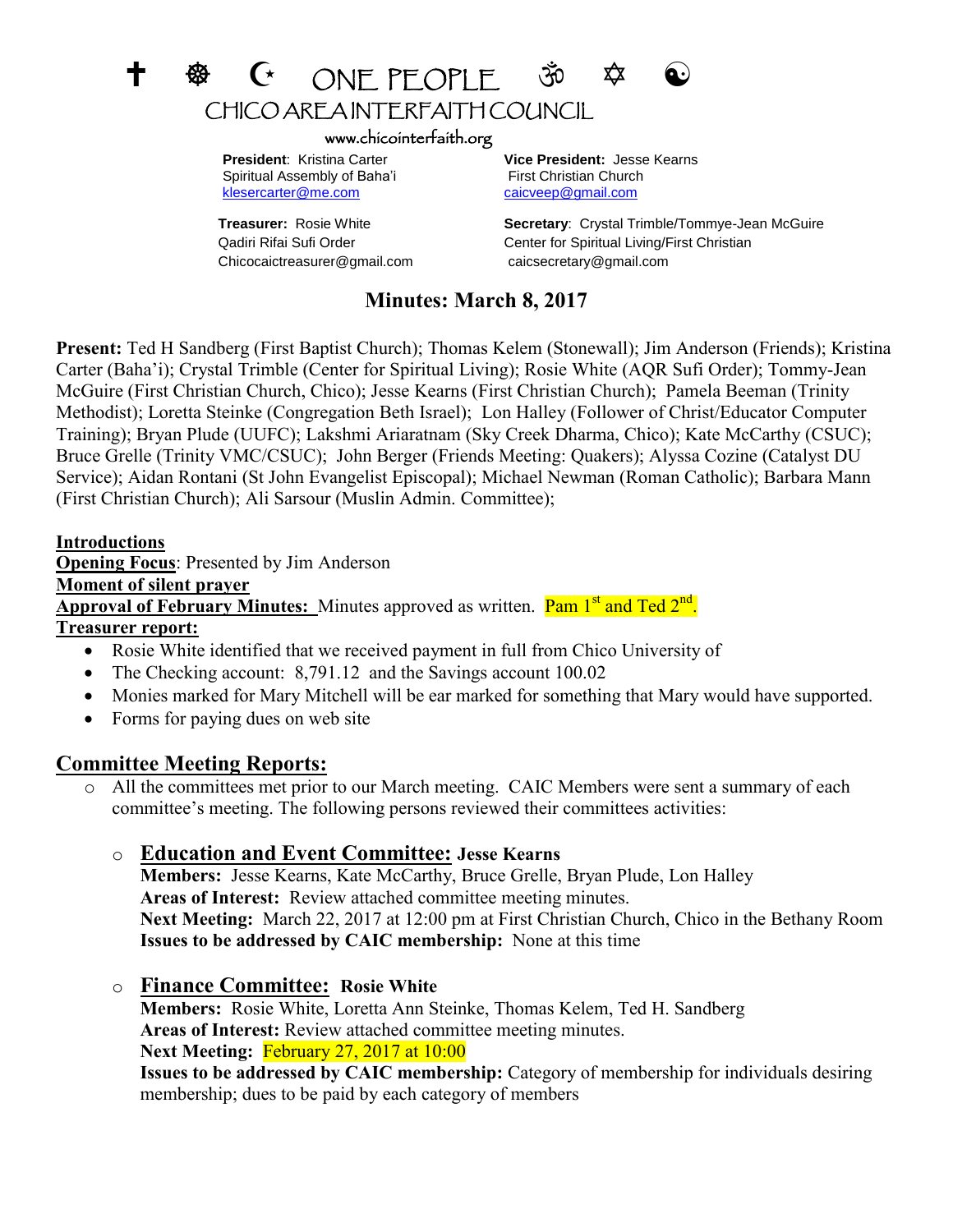# +  $\circledast$  C ONEPEOPLE  $\circledast$ CHICO AREA INTERFAITH COUNCIL

#### www.chicointerfaith.org

Spiritual Assembly of Baha'i First Christian Church [klesercarter@me.com](mailto:klesercarter@me.com) [caicveep@gmail.com](mailto:caicveep@gmail.com)

Chicocaictreasurer@gmail.com caicsecretary@gmail.com

 **President**: Kristina Carter **Vice President:** Jesse Kearns

**Treasurer:** Rosie White **Secretary**: Crystal Trimble/Tommye-Jean McGuire Qadiri Rifai Sufi Order Center for Spiritual Living/First Christian

## **Minutes: March 8, 2017**

**Present:** Ted H Sandberg (First Baptist Church); Thomas Kelem (Stonewall); Jim Anderson (Friends); Kristina Carter (Baha'i); Crystal Trimble (Center for Spiritual Living); Rosie White (AQR Sufi Order); Tommy-Jean McGuire (First Christian Church, Chico); Jesse Kearns (First Christian Church); Pamela Beeman (Trinity Methodist); Loretta Steinke (Congregation Beth Israel); Lon Halley (Follower of Christ/Educator Computer Training); Bryan Plude (UUFC); Lakshmi Ariaratnam (Sky Creek Dharma, Chico); Kate McCarthy (CSUC); Bruce Grelle (Trinity VMC/CSUC); John Berger (Friends Meeting: Quakers); Alyssa Cozine (Catalyst DU Service); Aidan Rontani (St John Evangelist Episcopal); Michael Newman (Roman Catholic); Barbara Mann (First Christian Church); Ali Sarsour (Muslin Admin. Committee);

#### **Introductions**

**Opening Focus**: Presented by Jim Anderson

#### **Moment of silent prayer**

Approval of February Minutes: Minutes approved as written. Pam 1<sup>st</sup> and Ted 2<sup>nd</sup>.

#### **Treasurer report:**

- Rosie White identified that we received payment in full from Chico University of
- The Checking account: 8,791.12 and the Savings account 100.02
- Monies marked for Mary Mitchell will be ear marked for something that Mary would have supported.
- Forms for paying dues on web site

## **Committee Meeting Reports:**

o All the committees met prior to our March meeting. CAIC Members were sent a summary of each committee's meeting. The following persons reviewed their committees activities:

## o **Education and Event Committee: Jesse Kearns**

**Members:** Jesse Kearns, Kate McCarthy, Bruce Grelle, Bryan Plude, Lon Halley **Areas of Interest:** Review attached committee meeting minutes. **Next Meeting:** March 22, 2017 at 12:00 pm at First Christian Church, Chico in the Bethany Room **Issues to be addressed by CAIC membership:** None at this time

o **Finance Committee: Rosie White**

**Members:** Rosie White, Loretta Ann Steinke, Thomas Kelem, Ted H. Sandberg **Areas of Interest:** Review attached committee meeting minutes. **Next Meeting:** February 27, 2017 at 10:00

**Issues to be addressed by CAIC membership:** Category of membership for individuals desiring membership; dues to be paid by each category of members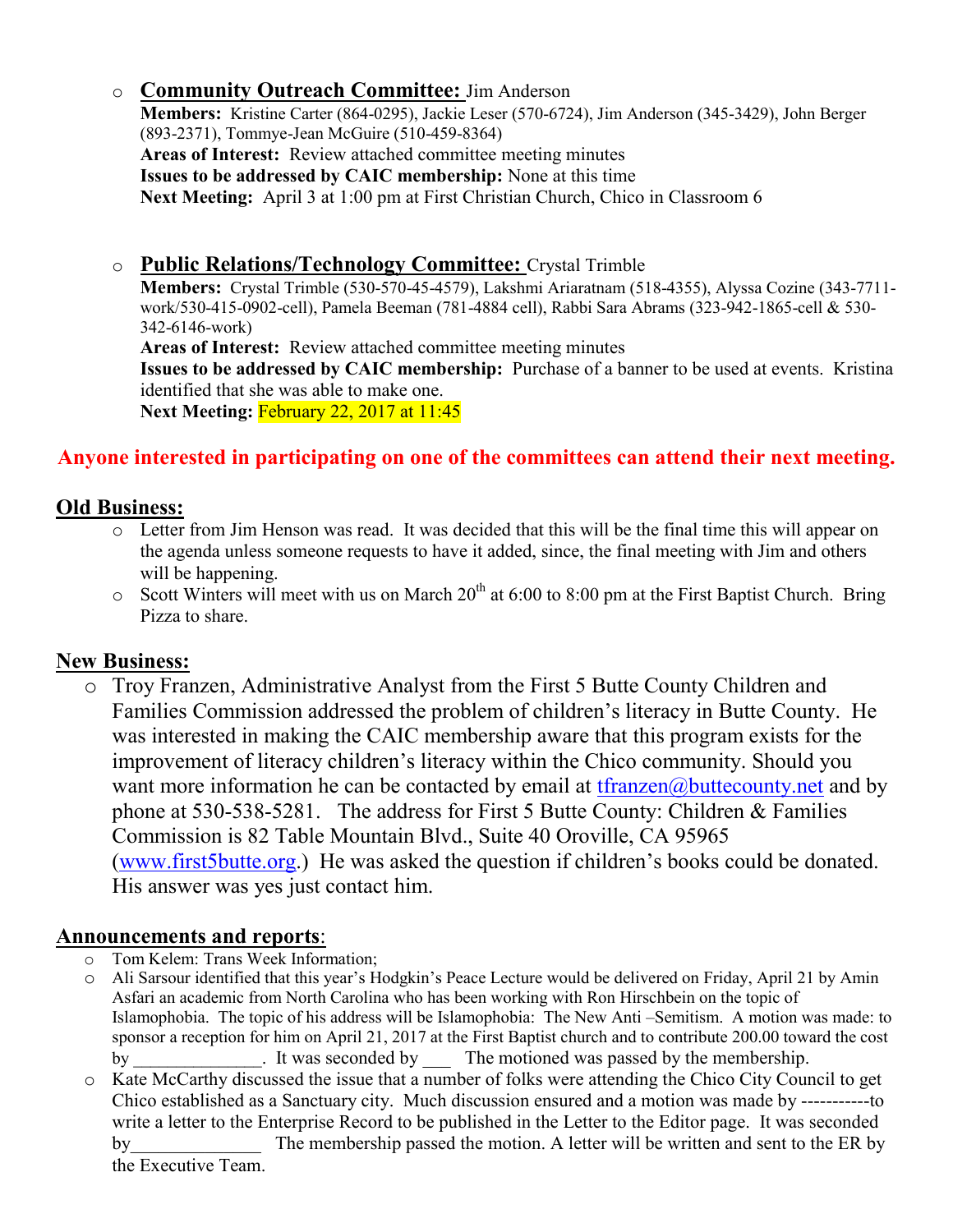## o **Community Outreach Committee:** Jim Anderson

**Members:** Kristine Carter (864-0295), Jackie Leser (570-6724), Jim Anderson (345-3429), John Berger (893-2371), Tommye-Jean McGuire (510-459-8364) **Areas of Interest:** Review attached committee meeting minutes **Issues to be addressed by CAIC membership:** None at this time **Next Meeting:** April 3 at 1:00 pm at First Christian Church, Chico in Classroom 6

# o **Public Relations/Technology Committee:** Crystal Trimble

**Members:** Crystal Trimble (530-570-45-4579), Lakshmi Ariaratnam (518-4355), Alyssa Cozine (343-7711 work/530-415-0902-cell), Pamela Beeman (781-4884 cell), Rabbi Sara Abrams (323-942-1865-cell & 530- 342-6146-work)

**Areas of Interest:** Review attached committee meeting minutes

**Issues to be addressed by CAIC membership:** Purchase of a banner to be used at events. Kristina identified that she was able to make one.

**Next Meeting:** February 22, 2017 at 11:45

# **Anyone interested in participating on one of the committees can attend their next meeting.**

# **Old Business:**

- o Letter from Jim Henson was read. It was decided that this will be the final time this will appear on the agenda unless someone requests to have it added, since, the final meeting with Jim and others will be happening.
- $\circ$  Scott Winters will meet with us on March 20<sup>th</sup> at 6:00 to 8:00 pm at the First Baptist Church. Bring Pizza to share.

# **New Business:**

o Troy Franzen, Administrative Analyst from the First 5 Butte County Children and Families Commission addressed the problem of children's literacy in Butte County. He was interested in making the CAIC membership aware that this program exists for the improvement of literacy children's literacy within the Chico community. Should you want more information he can be contacted by email at  $tfranzen(\omega)$  buttecounty.net and by phone at 530-538-5281. The address for First 5 Butte County: Children & Families Commission is 82 Table Mountain Blvd., Suite 40 Oroville, CA 95965 [\(www.first5butte.org](http://www.first5butte.org/).) He was asked the question if children's books could be donated. His answer was yes just contact him.

## **Announcements and reports**:

- o Tom Kelem: Trans Week Information;
- o Ali Sarsour identified that this year's Hodgkin's Peace Lecture would be delivered on Friday, April 21 by Amin Asfari an academic from North Carolina who has been working with Ron Hirschbein on the topic of Islamophobia. The topic of his address will be Islamophobia: The New Anti –Semitism. A motion was made: to sponsor a reception for him on April 21, 2017 at the First Baptist church and to contribute 200.00 toward the cost by \_\_\_\_\_\_\_\_\_\_\_\_\_\_. It was seconded by \_\_\_ The motioned was passed by the membership.
- o Kate McCarthy discussed the issue that a number of folks were attending the Chico City Council to get Chico established as a Sanctuary city. Much discussion ensured and a motion was made by -----------to write a letter to the Enterprise Record to be published in the Letter to the Editor page. It was seconded by The membership passed the motion. A letter will be written and sent to the ER by the Executive Team.